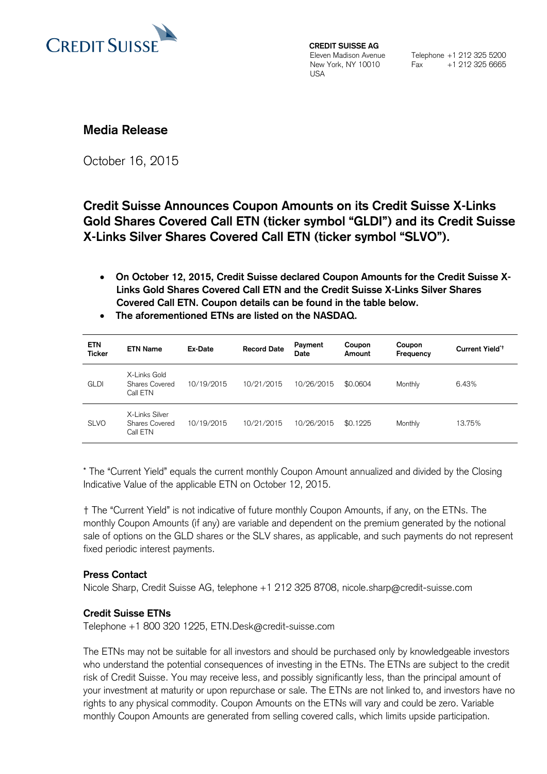

**CREDIT SUISSE AG** Eleven Madison Avenue New York, NY 10010 **I**ISA

Telephone +1 212 325 5200 Fax +1 212 325 6665

## **Media Release**

October 16, 2015

# **Credit Suisse Announces Coupon Amounts on its Credit Suisse X-Links Gold Shares Covered Call ETN (ticker symbol "GLDI") and its Credit Suisse X-Links Silver Shares Covered Call ETN (ticker symbol "SLVO").**

- **On October 12, 2015, Credit Suisse declared Coupon Amounts for the Credit Suisse X-Links Gold Shares Covered Call ETN and the Credit Suisse X-Links Silver Shares Covered Call ETN. Coupon details can be found in the table below.**
- **The aforementioned ETNs are listed on the NASDAQ.**

| <b>ETN</b><br><b>Ticker</b> | <b>ETN Name</b>                              | Ex-Date    | <b>Record Date</b> | Payment<br>Date | Coupon<br>Amount | Coupon<br>Frequency | Current Yield <sup>*+</sup> |
|-----------------------------|----------------------------------------------|------------|--------------------|-----------------|------------------|---------------------|-----------------------------|
| <b>GLDI</b>                 | X-Links Gold<br>Shares Covered<br>Call ETN   | 10/19/2015 | 10/21/2015         | 10/26/2015      | \$0,0604         | Monthly             | 6.43%                       |
| <b>SLVO</b>                 | X-Links Silver<br>Shares Covered<br>Call ETN | 10/19/2015 | 10/21/2015         | 10/26/2015      | \$0.1225         | Monthly             | 13.75%                      |

\* The "Current Yield" equals the current monthly Coupon Amount annualized and divided by the Closing Indicative Value of the applicable ETN on October 12, 2015.

† The "Current Yield" is not indicative of future monthly Coupon Amounts, if any, on the ETNs. The monthly Coupon Amounts (if any) are variable and dependent on the premium generated by the notional sale of options on the GLD shares or the SLV shares, as applicable, and such payments do not represent fixed periodic interest payments.

## **Press Contact**

Nicole Sharp, Credit Suisse AG, telephone +1 212 325 8708, [nicole.sharp@credit-suisse.com](mailto:nicole.sharp@credit-suisse.com)

## **Credit Suisse ETNs**

Telephone +1 800 320 1225, ETN.Desk@credit-suisse.com

The ETNs may not be suitable for all investors and should be purchased only by knowledgeable investors who understand the potential consequences of investing in the ETNs. The ETNs are subject to the credit risk of Credit Suisse. You may receive less, and possibly significantly less, than the principal amount of your investment at maturity or upon repurchase or sale. The ETNs are not linked to, and investors have no rights to any physical commodity. Coupon Amounts on the ETNs will vary and could be zero. Variable monthly Coupon Amounts are generated from selling covered calls, which limits upside participation.